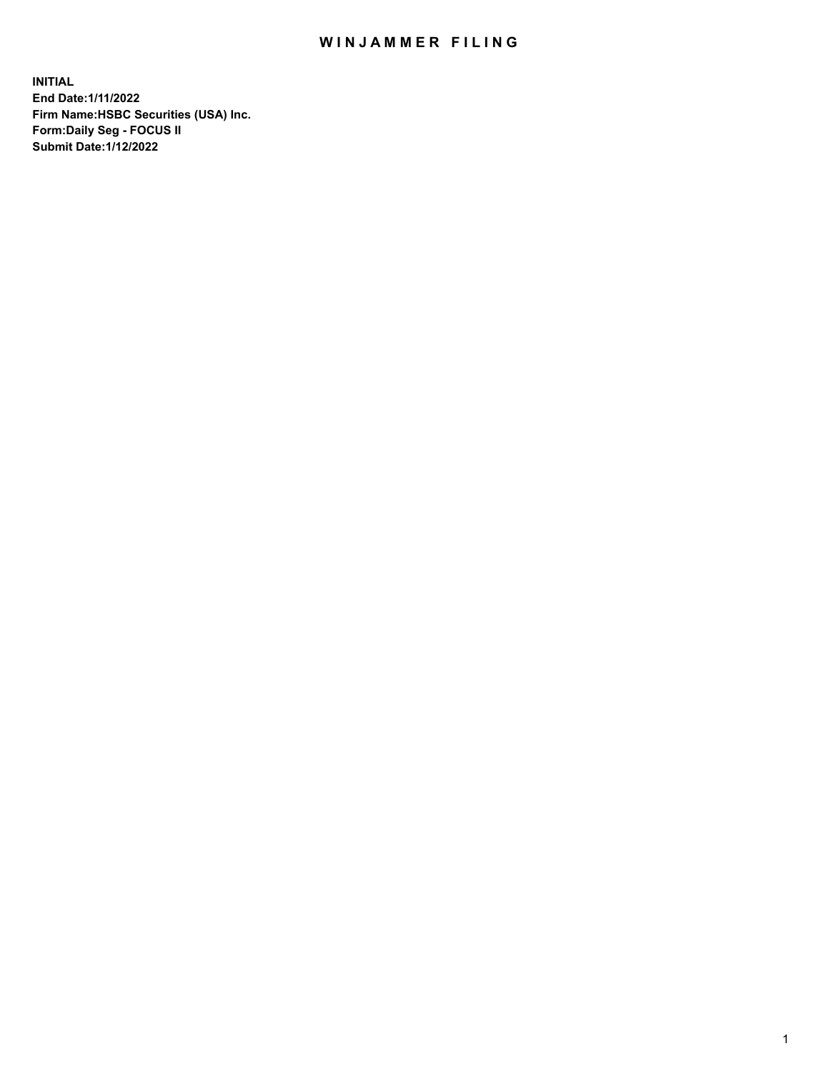## WIN JAMMER FILING

**INITIAL End Date:1/11/2022 Firm Name:HSBC Securities (USA) Inc. Form:Daily Seg - FOCUS II Submit Date:1/12/2022**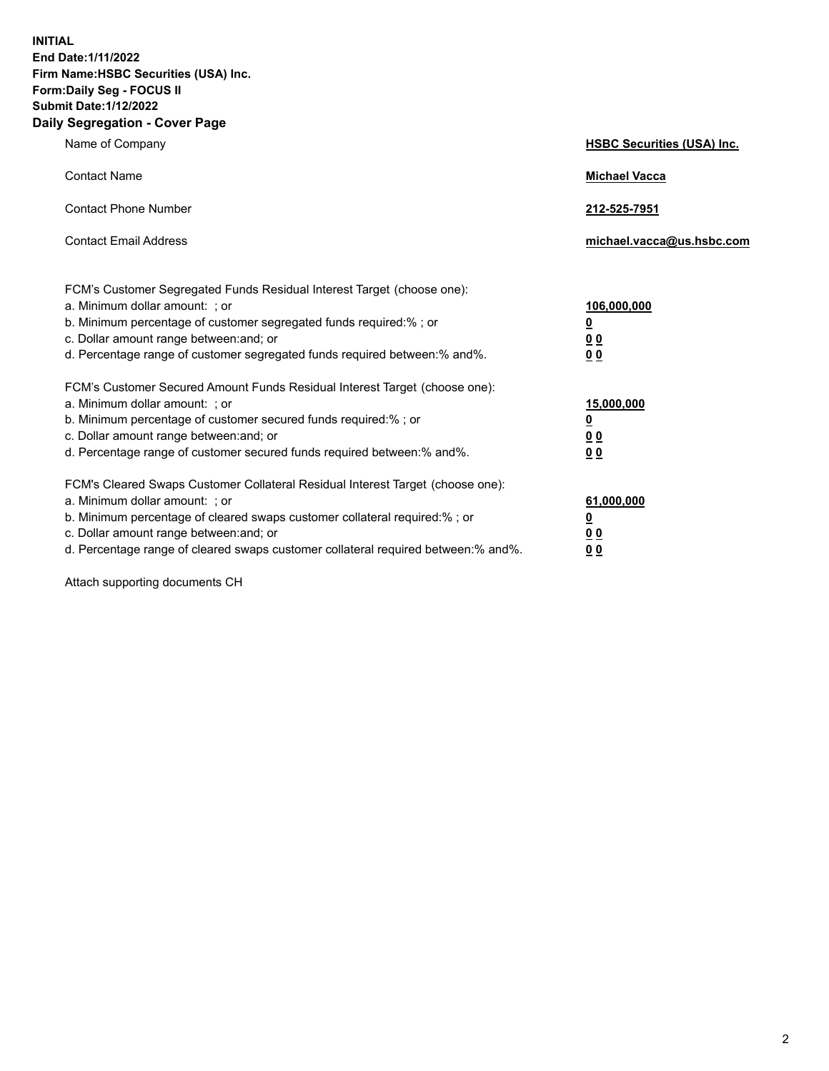**INITIAL End Date:1/11/2022 Firm Name:HSBC Securities (USA) Inc. Form:Daily Seg - FOCUS II Submit Date:1/12/2022 Daily Segregation - Cover Page**

| Name of Company                                                                                                                                                                                                                                                                                                                | <b>HSBC Securities (USA) Inc.</b>                           |
|--------------------------------------------------------------------------------------------------------------------------------------------------------------------------------------------------------------------------------------------------------------------------------------------------------------------------------|-------------------------------------------------------------|
| <b>Contact Name</b>                                                                                                                                                                                                                                                                                                            | <b>Michael Vacca</b>                                        |
| <b>Contact Phone Number</b>                                                                                                                                                                                                                                                                                                    | 212-525-7951                                                |
| <b>Contact Email Address</b>                                                                                                                                                                                                                                                                                                   | michael.vacca@us.hsbc.com                                   |
| FCM's Customer Segregated Funds Residual Interest Target (choose one):<br>a. Minimum dollar amount: ; or<br>b. Minimum percentage of customer segregated funds required:%; or<br>c. Dollar amount range between: and; or<br>d. Percentage range of customer segregated funds required between:% and%.                          | 106,000,000<br><u>0</u><br>0 <sub>0</sub><br>0 <sub>0</sub> |
| FCM's Customer Secured Amount Funds Residual Interest Target (choose one):<br>a. Minimum dollar amount: ; or<br>b. Minimum percentage of customer secured funds required:%; or<br>c. Dollar amount range between: and; or<br>d. Percentage range of customer secured funds required between:% and%.                            | 15,000,000<br><u>0</u><br>0 <sub>0</sub><br>0 <sub>0</sub>  |
| FCM's Cleared Swaps Customer Collateral Residual Interest Target (choose one):<br>a. Minimum dollar amount: ; or<br>b. Minimum percentage of cleared swaps customer collateral required:% ; or<br>c. Dollar amount range between: and; or<br>d. Percentage range of cleared swaps customer collateral required between:% and%. | 61,000,000<br><u>0</u><br>00<br>00                          |

Attach supporting documents CH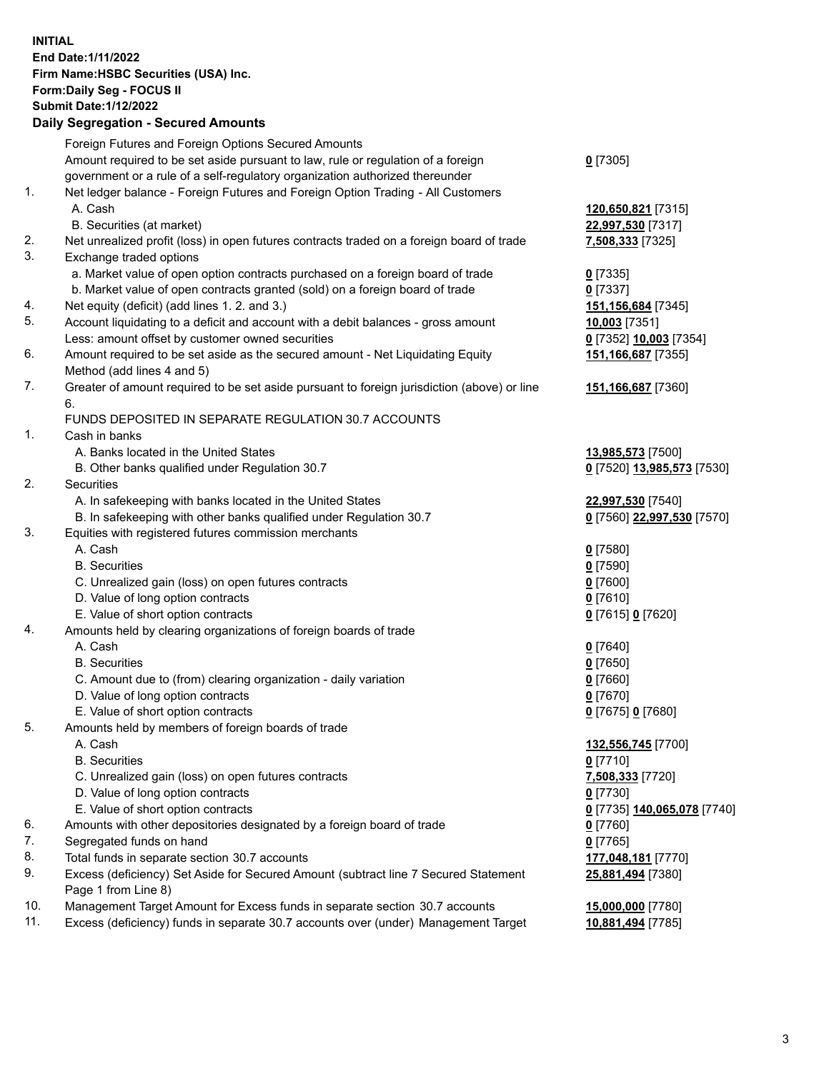**INITIAL End Date:1/11/2022 Firm Name:HSBC Securities (USA) Inc. Form:Daily Seg - FOCUS II Submit Date:1/12/2022 Daily Segregation - Secured Amounts**

## Foreign Futures and Foreign Options Secured Amounts Amount required to be set aside pursuant to law, rule or regulation of a foreign government or a rule of a self-regulatory organization authorized thereunder **0** [7305] 1. Net ledger balance - Foreign Futures and Foreign Option Trading - All Customers A. Cash **120,650,821** [7315] B. Securities (at market) **22,997,530** [7317] 2. Net unrealized profit (loss) in open futures contracts traded on a foreign board of trade **7,508,333** [7325] 3. Exchange traded options a. Market value of open option contracts purchased on a foreign board of trade **0** [7335] b. Market value of open contracts granted (sold) on a foreign board of trade **0** [7337] 4. Net equity (deficit) (add lines 1. 2. and 3.) **151,156,684** [7345] 5. Account liquidating to a deficit and account with a debit balances - gross amount **10,003** [7351] Less: amount offset by customer owned securities **0** [7352] **10,003** [7354] 6. Amount required to be set aside as the secured amount - Net Liquidating Equity Method (add lines 4 and 5) **151,166,687** [7355] 7. Greater of amount required to be set aside pursuant to foreign jurisdiction (above) or line 6. **151,166,687** [7360] FUNDS DEPOSITED IN SEPARATE REGULATION 30.7 ACCOUNTS 1. Cash in banks A. Banks located in the United States **13,985,573** [7500] B. Other banks qualified under Regulation 30.7 **0** [7520] **13,985,573** [7530] 2. Securities A. In safekeeping with banks located in the United States **22,997,530** [7540] B. In safekeeping with other banks qualified under Regulation 30.7 **0** [7560] **22,997,530** [7570] 3. Equities with registered futures commission merchants A. Cash **0** [7580] B. Securities **0** [7590] C. Unrealized gain (loss) on open futures contracts **0** [7600] D. Value of long option contracts **0** [7610] E. Value of short option contracts **0** [7615] **0** [7620] 4. Amounts held by clearing organizations of foreign boards of trade A. Cash **0** [7640] B. Securities **0** [7650] C. Amount due to (from) clearing organization - daily variation **0** [7660] D. Value of long option contracts **0** [7670] E. Value of short option contracts **0** [7675] **0** [7680] 5. Amounts held by members of foreign boards of trade A. Cash **132,556,745** [7700] B. Securities **0** [7710] C. Unrealized gain (loss) on open futures contracts **7,508,333** [7720] D. Value of long option contracts **0** [7730] E. Value of short option contracts **0** [7735] **140,065,078** [7740] 6. Amounts with other depositories designated by a foreign board of trade **0** [7760] 7. Segregated funds on hand **0** [7765] 8. Total funds in separate section 30.7 accounts **177,048,181** [7770] 9. Excess (deficiency) Set Aside for Secured Amount (subtract line 7 Secured Statement Page 1 from Line 8) **25,881,494** [7380] 10. Management Target Amount for Excess funds in separate section 30.7 accounts **15,000,000** [7780] 11. Excess (deficiency) funds in separate 30.7 accounts over (under) Management Target **10,881,494** [7785]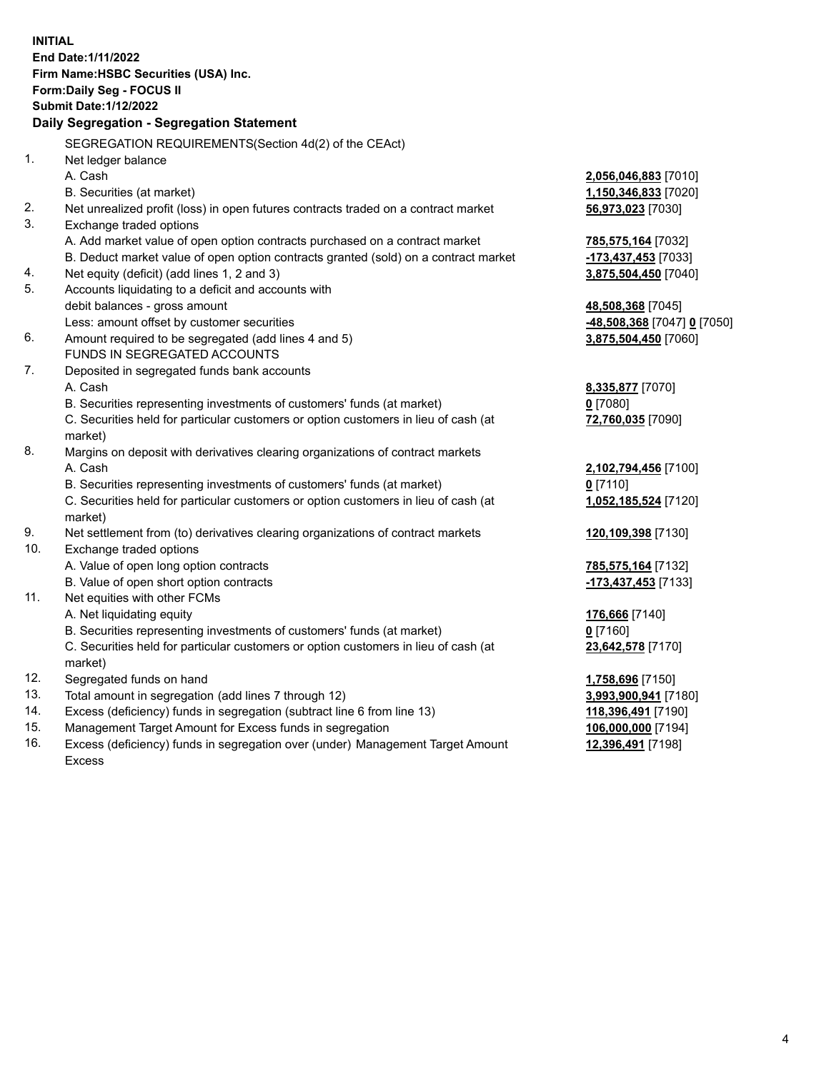| <b>INITIAL</b> |                                                                                     |                             |
|----------------|-------------------------------------------------------------------------------------|-----------------------------|
|                | End Date: 1/11/2022                                                                 |                             |
|                | Firm Name: HSBC Securities (USA) Inc.                                               |                             |
|                | Form: Daily Seg - FOCUS II                                                          |                             |
|                | <b>Submit Date: 1/12/2022</b>                                                       |                             |
|                | Daily Segregation - Segregation Statement                                           |                             |
|                | SEGREGATION REQUIREMENTS(Section 4d(2) of the CEAct)                                |                             |
| 1.             | Net ledger balance                                                                  |                             |
|                | A. Cash                                                                             | 2,056,046,883 [7010]        |
|                | B. Securities (at market)                                                           | 1,150,346,833 [7020]        |
| 2.             | Net unrealized profit (loss) in open futures contracts traded on a contract market  | 56,973,023 [7030]           |
| 3.             | Exchange traded options                                                             |                             |
|                | A. Add market value of open option contracts purchased on a contract market         | 785,575,164 [7032]          |
|                | B. Deduct market value of open option contracts granted (sold) on a contract market | -173,437,453 [7033]         |
| 4.             | Net equity (deficit) (add lines 1, 2 and 3)                                         | 3,875,504,450 [7040]        |
| 5.             | Accounts liquidating to a deficit and accounts with                                 |                             |
|                | debit balances - gross amount                                                       | 48,508,368 [7045]           |
|                | Less: amount offset by customer securities                                          | -48,508,368 [7047] 0 [7050] |
| 6.             | Amount required to be segregated (add lines 4 and 5)                                | 3,875,504,450 [7060]        |
|                | FUNDS IN SEGREGATED ACCOUNTS                                                        |                             |
| 7.             | Deposited in segregated funds bank accounts                                         |                             |
|                | A. Cash                                                                             | 8,335,877 [7070]            |
|                | B. Securities representing investments of customers' funds (at market)              | $0$ [7080]                  |
|                | C. Securities held for particular customers or option customers in lieu of cash (at | 72,760,035 [7090]           |
|                | market)                                                                             |                             |
| 8.             | Margins on deposit with derivatives clearing organizations of contract markets      |                             |
|                | A. Cash                                                                             | 2,102,794,456 [7100]        |
|                | B. Securities representing investments of customers' funds (at market)              | $0$ [7110]                  |
|                | C. Securities held for particular customers or option customers in lieu of cash (at | 1,052,185,524 [7120]        |
|                | market)                                                                             |                             |
| 9.             | Net settlement from (to) derivatives clearing organizations of contract markets     | 120,109,398 [7130]          |
| 10.            | Exchange traded options                                                             |                             |
|                | A. Value of open long option contracts                                              | 785,575,164 [7132]          |
|                | B. Value of open short option contracts                                             | -173,437,453 [7133]         |
| 11.            | Net equities with other FCMs                                                        |                             |
|                | A. Net liquidating equity                                                           | 176,666 [7140]              |
|                | B. Securities representing investments of customers' funds (at market)              | $0$ [7160]                  |
|                | C. Securities held for particular customers or option customers in lieu of cash (at | 23,642,578 [7170]           |
|                | market)                                                                             |                             |
| 12.            | Segregated funds on hand                                                            | 1,758,696 [7150]            |
| 13.            | Total amount in segregation (add lines 7 through 12)                                | 3,993,900,941 [7180]        |
| 14.            | Excess (deficiency) funds in segregation (subtract line 6 from line 13)             | 118,396,491 [7190]          |
| 15.            | Management Target Amount for Excess funds in segregation                            | 106,000,000 [7194]          |
| 16.            | Excess (deficiency) funds in segregation over (under) Management Target Amount      | 12,396,491 [7198]           |

16. Excess (deficiency) funds in segregation over (under) Management Target Amount Excess